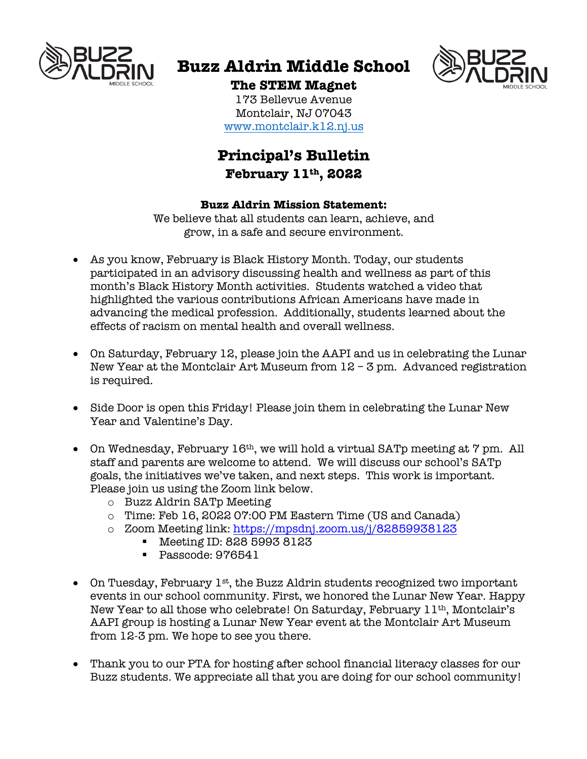

# **Buzz Aldrin Middle School**



# **The STEM Magnet**

173 Bellevue Avenue Montclair, NJ 07043 www.montclair.k12.nj.us

# **Principal's Bulletin February 11th, 2022**

#### **Buzz Aldrin Mission Statement:**

We believe that all students can learn, achieve, and grow, in a safe and secure environment.

- As you know, February is Black History Month. Today, our students participated in an advisory discussing health and wellness as part of this month's Black History Month activities. Students watched a video that highlighted the various contributions African Americans have made in advancing the medical profession. Additionally, students learned about the effects of racism on mental health and overall wellness.
- On Saturday, February 12, please join the AAPI and us in celebrating the Lunar New Year at the Montclair Art Museum from 12 – 3 pm. Advanced registration is required.
- Side Door is open this Friday! Please join them in celebrating the Lunar New Year and Valentine's Day.
- On Wednesday, February 16<sup>th</sup>, we will hold a virtual SATp meeting at 7 pm. All staff and parents are welcome to attend. We will discuss our school's SATp goals, the initiatives we've taken, and next steps. This work is important. Please join us using the Zoom link below.
	- o Buzz Aldrin SATp Meeting
	- o Time: Feb 16, 2022 07:00 PM Eastern Time (US and Canada)
	- o Zoom Meeting link: https://mpsdnj.zoom.us/j/82859938123
		- § Meeting ID: 828 5993 8123
		- Passcode: 976541
- On Tuesday, February 1<sup>st</sup>, the Buzz Aldrin students recognized two important events in our school community. First, we honored the Lunar New Year. Happy New Year to all those who celebrate! On Saturday, February 11th, Montclair's AAPI group is hosting a Lunar New Year event at the Montclair Art Museum from 12-3 pm. We hope to see you there.
- Thank you to our PTA for hosting after school financial literacy classes for our Buzz students. We appreciate all that you are doing for our school community!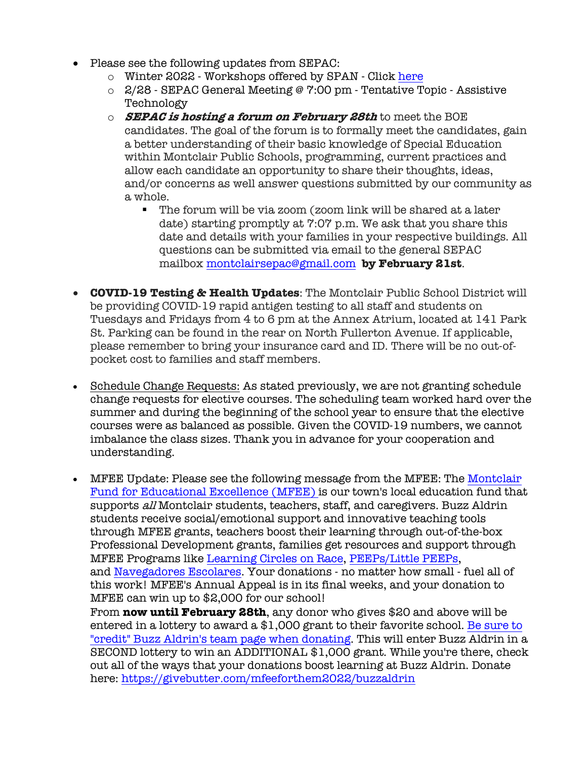- Please see the following updates from SEPAC:
	- o Winter 2022 Workshops offered by SPAN Click here
	- o 2/28 SEPAC General Meeting @ 7:00 pm Tentative Topic Assistive Technology
	- o **SEPAC is hosting a forum on February 28th** to meet the BOE candidates. The goal of the forum is to formally meet the candidates, gain a better understanding of their basic knowledge of Special Education within Montclair Public Schools, programming, current practices and allow each candidate an opportunity to share their thoughts, ideas, and/or concerns as well answer questions submitted by our community as a whole.
		- The forum will be via zoom (zoom link will be shared at a later date) starting promptly at 7:07 p.m. We ask that you share this date and details with your families in your respective buildings. All questions can be submitted via email to the general SEPAC mailbox montclairsepac@gmail.com **by February 21st**.
- **COVID-19 Testing & Health Updates**: The Montclair Public School District will be providing COVID-19 rapid antigen testing to all staff and students on Tuesdays and Fridays from 4 to 6 pm at the Annex Atrium, located at 141 Park St. Parking can be found in the rear on North Fullerton Avenue. If applicable, please remember to bring your insurance card and ID. There will be no out-ofpocket cost to families and staff members.
- Schedule Change Requests: As stated previously, we are not granting schedule change requests for elective courses. The scheduling team worked hard over the summer and during the beginning of the school year to ensure that the elective courses were as balanced as possible. Given the COVID-19 numbers, we cannot imbalance the class sizes. Thank you in advance for your cooperation and understanding.
- MFEE Update: Please see the following message from the MFEE: The Montclair Fund for Educational Excellence (MFEE) is our town's local education fund that supports all Montclair students, teachers, staff, and caregivers. Buzz Aldrin students receive social/emotional support and innovative teaching tools through MFEE grants, teachers boost their learning through out-of-the-box Professional Development grants, families get resources and support through MFEE Programs like Learning Circles on Race, PEEPs/Little PEEPs, and Navegadores Escolares. Your donations - no matter how small - fuel all of this work! MFEE's Annual Appeal is in its final weeks, and your donation to MFEE can win up to \$2,000 for our school! From **now until February 28th**, any donor who gives \$20 and above will be entered in a lottery to award a \$1,000 grant to their favorite school. Be sure to "credit" Buzz Aldrin's team page when donating. This will enter Buzz Aldrin in a SECOND lottery to win an ADDITIONAL \$1,000 grant. While you're there, check out all of the ways that your donations boost learning at Buzz Aldrin. Donate

here: https://givebutter.com/mfeeforthem2022/buzzaldrin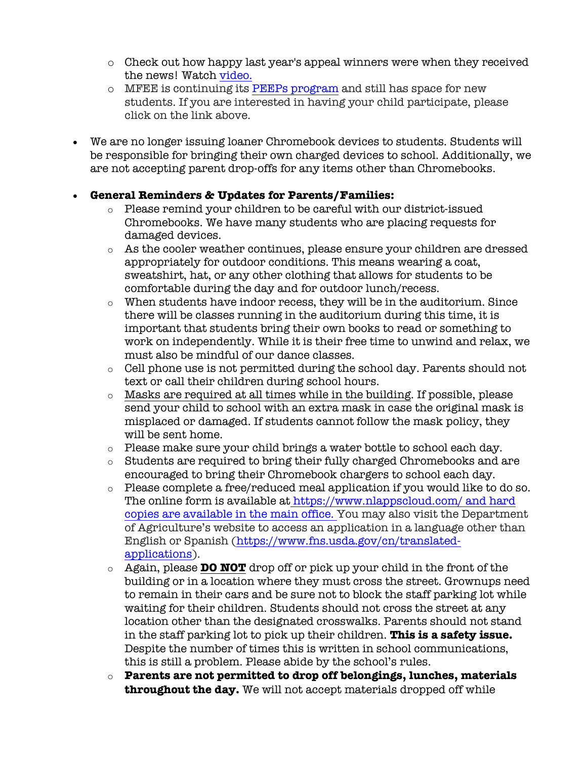- o Check out how happy last year's appeal winners were when they received the news! Watch video.
- o MFEE is continuing its PEEPs program and still has space for new students. If you are interested in having your child participate, please click on the link above.
- We are no longer issuing loaner Chromebook devices to students. Students will be responsible for bringing their own charged devices to school. Additionally, we are not accepting parent drop-offs for any items other than Chromebooks.

### • **General Reminders & Updates for Parents/Families:**

- $\circ$  Please remind your children to be careful with our district-issued Chromebooks. We have many students who are placing requests for damaged devices.
- o As the cooler weather continues, please ensure your children are dressed appropriately for outdoor conditions. This means wearing a coat, sweatshirt, hat, or any other clothing that allows for students to be comfortable during the day and for outdoor lunch/recess.
- $\circ$  When students have indoor recess, they will be in the auditorium. Since there will be classes running in the auditorium during this time, it is important that students bring their own books to read or something to work on independently. While it is their free time to unwind and relax, we must also be mindful of our dance classes.
- o Cell phone use is not permitted during the school day. Parents should not text or call their children during school hours.
- o Masks are required at all times while in the building. If possible, please send your child to school with an extra mask in case the original mask is misplaced or damaged. If students cannot follow the mask policy, they will be sent home.
- o Please make sure your child brings a water bottle to school each day.
- o Students are required to bring their fully charged Chromebooks and are encouraged to bring their Chromebook chargers to school each day.
- o Please complete a free/reduced meal application if you would like to do so. The online form is available at https://www.nlappscloud.com/ and hard copies are available in the main office. You may also visit the Department of Agriculture's website to access an application in a language other than English or Spanish (https://www.fns.usda.gov/cn/translatedapplications).
- o Again, please **DO NOT** drop off or pick up your child in the front of the building or in a location where they must cross the street. Grownups need to remain in their cars and be sure not to block the staff parking lot while waiting for their children. Students should not cross the street at any location other than the designated crosswalks. Parents should not stand in the staff parking lot to pick up their children. **This is a safety issue.** Despite the number of times this is written in school communications, this is still a problem. Please abide by the school's rules.
- o **Parents are not permitted to drop off belongings, lunches, materials throughout the day.** We will not accept materials dropped off while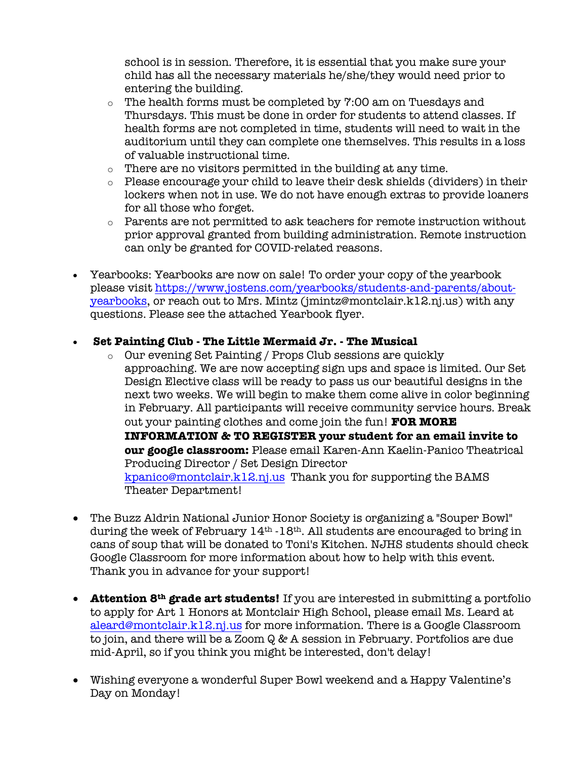school is in session. Therefore, it is essential that you make sure your child has all the necessary materials he/she/they would need prior to entering the building.

- $\circ$  The health forms must be completed by 7:00 am on Tuesdays and Thursdays. This must be done in order for students to attend classes. If health forms are not completed in time, students will need to wait in the auditorium until they can complete one themselves. This results in a loss of valuable instructional time.
- o There are no visitors permitted in the building at any time.
- o Please encourage your child to leave their desk shields (dividers) in their lockers when not in use. We do not have enough extras to provide loaners for all those who forget.
- o Parents are not permitted to ask teachers for remote instruction without prior approval granted from building administration. Remote instruction can only be granted for COVID-related reasons.
- Yearbooks: Yearbooks are now on sale! To order your copy of the yearbook please visit https://www.jostens.com/yearbooks/students-and-parents/aboutyearbooks, or reach out to Mrs. Mintz (jmintz@montclair.k12.nj.us) with any questions. Please see the attached Yearbook flyer.

### • **Set Painting Club - The Little Mermaid Jr. - The Musical**

- o Our evening Set Painting / Props Club sessions are quickly approaching. We are now accepting sign ups and space is limited. Our Set Design Elective class will be ready to pass us our beautiful designs in the next two weeks. We will begin to make them come alive in color beginning in February. All participants will receive community service hours. Break out your painting clothes and come join the fun! **FOR MORE INFORMATION & TO REGISTER your student for an email invite to our google classroom:** Please email Karen-Ann Kaelin-Panico Theatrical Producing Director / Set Design Director kpanico@montclair.k12.nj.us Thank you for supporting the BAMS Theater Department!
- The Buzz Aldrin National Junior Honor Society is organizing a "Souper Bowl" during the week of February  $14<sup>th</sup> - 18<sup>th</sup>$ . All students are encouraged to bring in cans of soup that will be donated to Toni's Kitchen. NJHS students should check Google Classroom for more information about how to help with this event. Thank you in advance for your support!
- **Attention 8th grade art students!** If you are interested in submitting a portfolio to apply for Art 1 Honors at Montclair High School, please email Ms. Leard at aleard@montclair.k12.nj.us for more information. There is a Google Classroom to join, and there will be a Zoom Q & A session in February. Portfolios are due mid-April, so if you think you might be interested, don't delay!
- Wishing everyone a wonderful Super Bowl weekend and a Happy Valentine's Day on Monday!